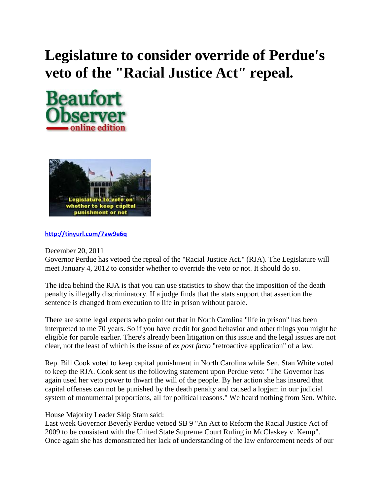## **Legislature to consider override of Perdue's veto of the "Racial Justice Act" repeal.**





**<http://tinyurl.com/7aw9e6q>**

December 20, 2011

Governor Perdue has vetoed the repeal of the "Racial Justice Act." (RJA). The Legislature will meet January 4, 2012 to consider whether to override the veto or not. It should do so.

The idea behind the RJA is that you can use statistics to show that the imposition of the death penalty is illegally discriminatory. If a judge finds that the stats support that assertion the sentence is changed from execution to life in prison without parole.

There are some legal experts who point out that in North Carolina "life in prison" has been interpreted to me 70 years. So if you have credit for good behavior and other things you might be eligible for parole earlier. There's already been litigation on this issue and the legal issues are not clear, not the least of which is the issue of *ex post facto* "retroactive application" of a law.

Rep. Bill Cook voted to keep capital punishment in North Carolina while Sen. Stan White voted to keep the RJA. Cook sent us the following statement upon Perdue veto: "The Governor has again used her veto power to thwart the will of the people. By her action she has insured that capital offenses can not be punished by the death penalty and caused a logjam in our judicial system of monumental proportions, all for political reasons." We heard nothing from Sen. White.

House Majority Leader Skip Stam said:

Last week Governor Beverly Perdue vetoed SB 9 "An Act to Reform the Racial Justice Act of 2009 to be consistent with the United State Supreme Court Ruling in McClaskey v. Kemp". Once again she has demonstrated her lack of understanding of the law enforcement needs of our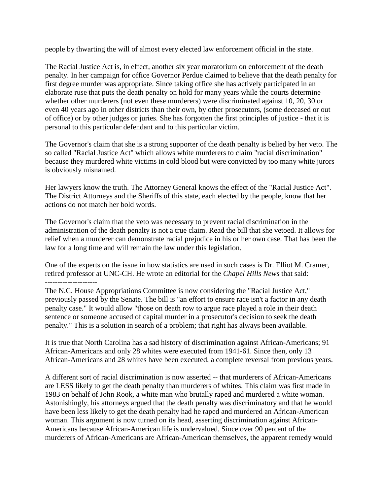people by thwarting the will of almost every elected law enforcement official in the state.

The Racial Justice Act is, in effect, another six year moratorium on enforcement of the death penalty. In her campaign for office Governor Perdue claimed to believe that the death penalty for first degree murder was appropriate. Since taking office she has actively participated in an elaborate ruse that puts the death penalty on hold for many years while the courts determine whether other murderers (not even these murderers) were discriminated against 10, 20, 30 or even 40 years ago in other districts than their own, by other prosecutors, (some deceased or out of office) or by other judges or juries. She has forgotten the first principles of justice - that it is personal to this particular defendant and to this particular victim.

The Governor's claim that she is a strong supporter of the death penalty is belied by her veto. The so called "Racial Justice Act" which allows white murderers to claim "racial discrimination" because they murdered white victims in cold blood but were convicted by too many white jurors is obviously misnamed.

Her lawyers know the truth. The Attorney General knows the effect of the "Racial Justice Act". The District Attorneys and the Sheriffs of this state, each elected by the people, know that her actions do not match her bold words.

The Governor's claim that the veto was necessary to prevent racial discrimination in the administration of the death penalty is not a true claim. Read the bill that she vetoed. It allows for relief when a murderer can demonstrate racial prejudice in his or her own case. That has been the law for a long time and will remain the law under this legislation.

One of the experts on the issue in how statistics are used in such cases is Dr. Elliot M. Cramer, retired professor at UNC-CH. He wrote an editorial for the *Chapel Hills News* that said: ---------------------

The N.C. House Appropriations Committee is now considering the "Racial Justice Act," previously passed by the Senate. The bill is "an effort to ensure race isn't a factor in any death penalty case." It would allow "those on death row to argue race played a role in their death sentence or someone accused of capital murder in a prosecutor's decision to seek the death penalty." This is a solution in search of a problem; that right has always been available.

It is true that North Carolina has a sad history of discrimination against African-Americans; 91 African-Americans and only 28 whites were executed from 1941-61. Since then, only 13 African-Americans and 28 whites have been executed, a complete reversal from previous years.

A different sort of racial discrimination is now asserted -- that murderers of African-Americans are LESS likely to get the death penalty than murderers of whites. This claim was first made in 1983 on behalf of John Rook, a white man who brutally raped and murdered a white woman. Astonishingly, his attorneys argued that the death penalty was discriminatory and that he would have been less likely to get the death penalty had he raped and murdered an African-American woman. This argument is now turned on its head, asserting discrimination against African-Americans because African-American life is undervalued. Since over 90 percent of the murderers of African-Americans are African-American themselves, the apparent remedy would